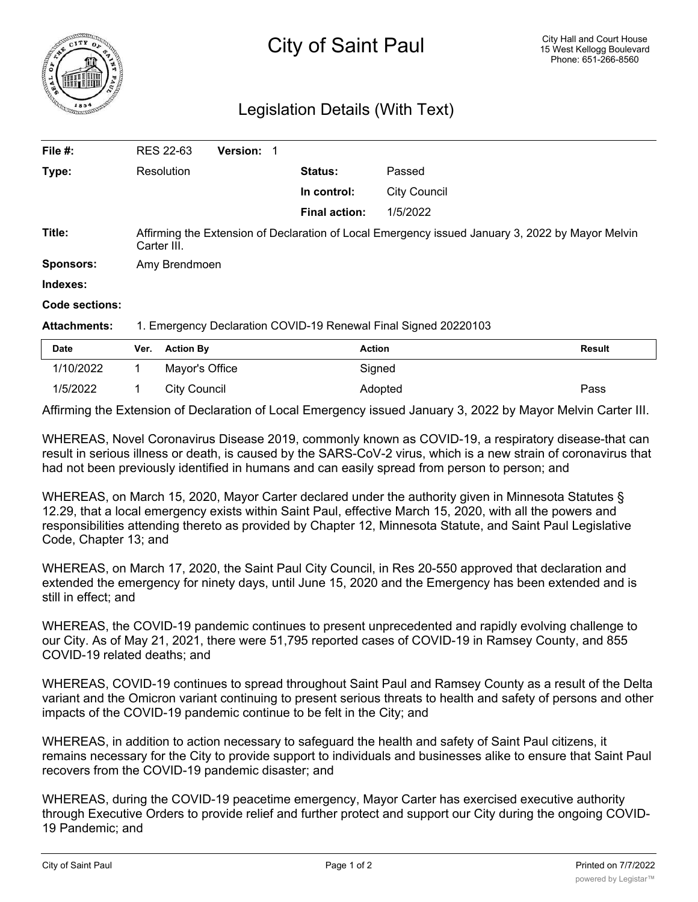

## Legislation Details (With Text)

| File #:             |                                                                                                                 | <b>RES 22-63</b>    | <b>Version: 1</b> |        |                      |                     |               |
|---------------------|-----------------------------------------------------------------------------------------------------------------|---------------------|-------------------|--------|----------------------|---------------------|---------------|
| Type:               | Resolution                                                                                                      |                     | <b>Status:</b>    | Passed |                      |                     |               |
|                     |                                                                                                                 |                     |                   |        | In control:          | <b>City Council</b> |               |
|                     |                                                                                                                 |                     |                   |        | <b>Final action:</b> | 1/5/2022            |               |
| Title:              | Affirming the Extension of Declaration of Local Emergency issued January 3, 2022 by Mayor Melvin<br>Carter III. |                     |                   |        |                      |                     |               |
| <b>Sponsors:</b>    | Amy Brendmoen                                                                                                   |                     |                   |        |                      |                     |               |
| Indexes:            |                                                                                                                 |                     |                   |        |                      |                     |               |
| Code sections:      |                                                                                                                 |                     |                   |        |                      |                     |               |
| <b>Attachments:</b> | 1. Emergency Declaration COVID-19 Renewal Final Signed 20220103                                                 |                     |                   |        |                      |                     |               |
| <b>Date</b>         | Ver.                                                                                                            | <b>Action By</b>    |                   |        | <b>Action</b>        |                     | <b>Result</b> |
| 1/10/2022           | 1                                                                                                               | Mayor's Office      |                   |        | Signed               |                     |               |
| 1/5/2022            |                                                                                                                 | <b>City Council</b> |                   |        |                      | Adopted             | Pass          |

Affirming the Extension of Declaration of Local Emergency issued January 3, 2022 by Mayor Melvin Carter III.

WHEREAS, Novel Coronavirus Disease 2019, commonly known as COVID-19, a respiratory disease-that can result in serious illness or death, is caused by the SARS-CoV-2 virus, which is a new strain of coronavirus that had not been previously identified in humans and can easily spread from person to person; and

WHEREAS, on March 15, 2020, Mayor Carter declared under the authority given in Minnesota Statutes § 12.29, that a local emergency exists within Saint Paul, effective March 15, 2020, with all the powers and responsibilities attending thereto as provided by Chapter 12, Minnesota Statute, and Saint Paul Legislative Code, Chapter 13; and

WHEREAS, on March 17, 2020, the Saint Paul City Council, in Res 20-550 approved that declaration and extended the emergency for ninety days, until June 15, 2020 and the Emergency has been extended and is still in effect; and

WHEREAS, the COVID-19 pandemic continues to present unprecedented and rapidly evolving challenge to our City. As of May 21, 2021, there were 51,795 reported cases of COVID-19 in Ramsey County, and 855 COVID-19 related deaths; and

WHEREAS, COVID-19 continues to spread throughout Saint Paul and Ramsey County as a result of the Delta variant and the Omicron variant continuing to present serious threats to health and safety of persons and other impacts of the COVID-19 pandemic continue to be felt in the City; and

WHEREAS, in addition to action necessary to safeguard the health and safety of Saint Paul citizens, it remains necessary for the City to provide support to individuals and businesses alike to ensure that Saint Paul recovers from the COVID-19 pandemic disaster; and

WHEREAS, during the COVID-19 peacetime emergency, Mayor Carter has exercised executive authority through Executive Orders to provide relief and further protect and support our City during the ongoing COVID-19 Pandemic; and